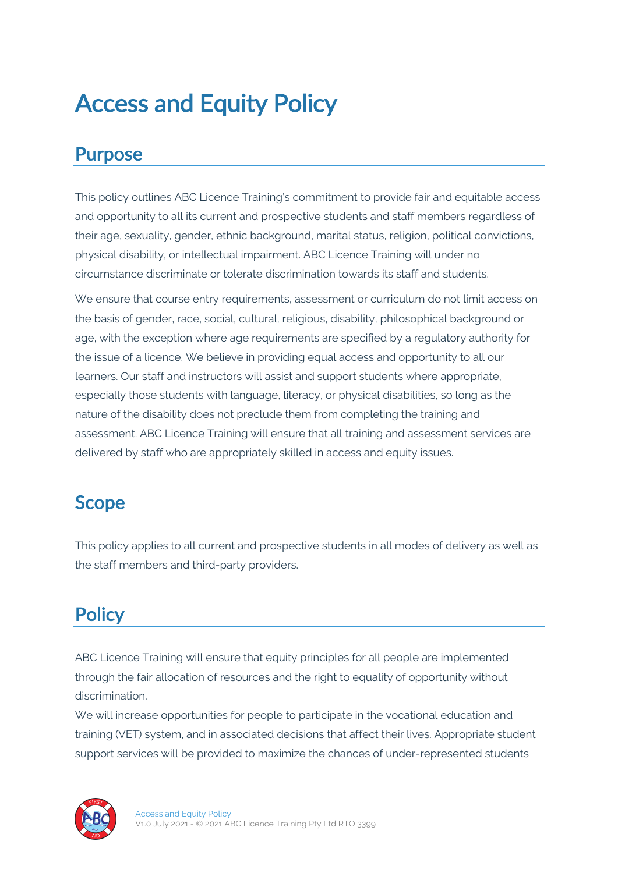# Access and Equity Policy

#### Purpose

This policy outlines ABC Licence Training's commitment to provide fair and equitable access and opportunity to all its current and prospective students and staff members regardless of their age, sexuality, gender, ethnic background, marital status, religion, political convictions, physical disability, or intellectual impairment. ABC Licence Training will under no circumstance discriminate or tolerate discrimination towards its staff and students.

We ensure that course entry requirements, assessment or curriculum do not limit access on the basis of gender, race, social, cultural, religious, disability, philosophical background or age, with the exception where age requirements are specified by a regulatory authority for the issue of a licence. We believe in providing equal access and opportunity to all our learners. Our staff and instructors will assist and support students where appropriate, especially those students with language, literacy, or physical disabilities, so long as the nature of the disability does not preclude them from completing the training and assessment. ABC Licence Training will ensure that all training and assessment services are delivered by staff who are appropriately skilled in access and equity issues.

#### Scope

This policy applies to all current and prospective students in all modes of delivery as well as the staff members and third-party providers.

# **Policy**

ABC Licence Training will ensure that equity principles for all people are implemented through the fair allocation of resources and the right to equality of opportunity without discrimination.

We will increase opportunities for people to participate in the vocational education and training (VET) system, and in associated decisions that affect their lives. Appropriate student support services will be provided to maximize the chances of under-represented students

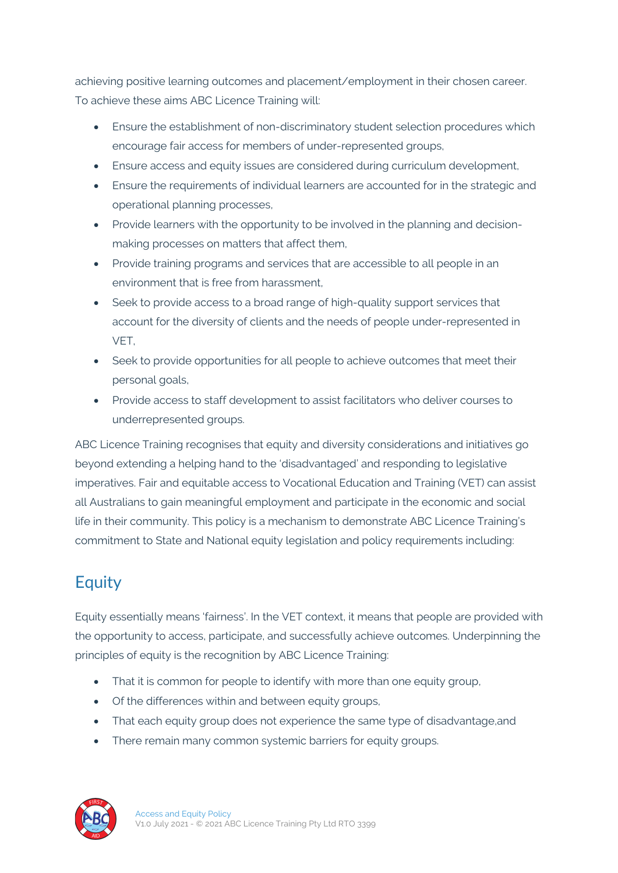achieving positive learning outcomes and placement/employment in their chosen career. To achieve these aims ABC Licence Training will:

- Ensure the establishment of non-discriminatory student selection procedures which encourage fair access for members of under-represented groups,
- Ensure access and equity issues are considered during curriculum development,
- Ensure the requirements of individual learners are accounted for in the strategic and operational planning processes,
- Provide learners with the opportunity to be involved in the planning and decisionmaking processes on matters that affect them,
- Provide training programs and services that are accessible to all people in an environment that is free from harassment
- Seek to provide access to a broad range of high-quality support services that account for the diversity of clients and the needs of people under-represented in VET,
- Seek to provide opportunities for all people to achieve outcomes that meet their personal goals,
- Provide access to staff development to assist facilitators who deliver courses to underrepresented groups.

ABC Licence Training recognises that equity and diversity considerations and initiatives go beyond extending a helping hand to the 'disadvantaged' and responding to legislative imperatives. Fair and equitable access to Vocational Education and Training (VET) can assist all Australians to gain meaningful employment and participate in the economic and social life in their community. This policy is a mechanism to demonstrate ABC Licence Training's commitment to State and National equity legislation and policy requirements including:

#### **Equity**

Equity essentially means 'fairness'. In the VET context, it means that people are provided with the opportunity to access, participate, and successfully achieve outcomes. Underpinning the principles of equity is the recognition by ABC Licence Training:

- That it is common for people to identify with more than one equity group,
- Of the differences within and between equity groups,
- That each equity group does not experience the same type of disadvantage, and
- There remain many common systemic barriers for equity groups.

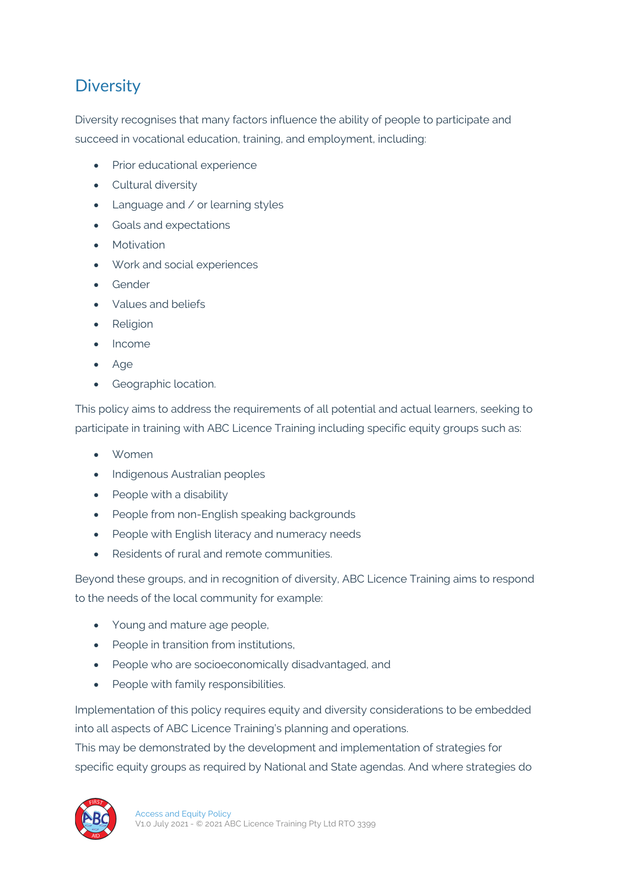#### **Diversity**

Diversity recognises that many factors influence the ability of people to participate and succeed in vocational education, training, and employment, including:

- Prior educational experience
- Cultural diversity
- Language and / or learning styles
- Goals and expectations
- Motivation
- Work and social experiences
- Gender
- Values and beliefs
- Religion
- Income
- Age
- Geographic location.

This policy aims to address the requirements of all potential and actual learners, seeking to participate in training with ABC Licence Training including specific equity groups such as:

- Women
- Indigenous Australian peoples
- People with a disability
- People from non-English speaking backgrounds
- People with English literacy and numeracy needs
- Residents of rural and remote communities.

Beyond these groups, and in recognition of diversity, ABC Licence Training aims to respond to the needs of the local community for example:

- Young and mature age people,
- People in transition from institutions,
- People who are socioeconomically disadvantaged, and
- People with family responsibilities.

Implementation of this policy requires equity and diversity considerations to be embedded into all aspects of ABC Licence Training's planning and operations.

This may be demonstrated by the development and implementation of strategies for specific equity groups as required by National and State agendas. And where strategies do

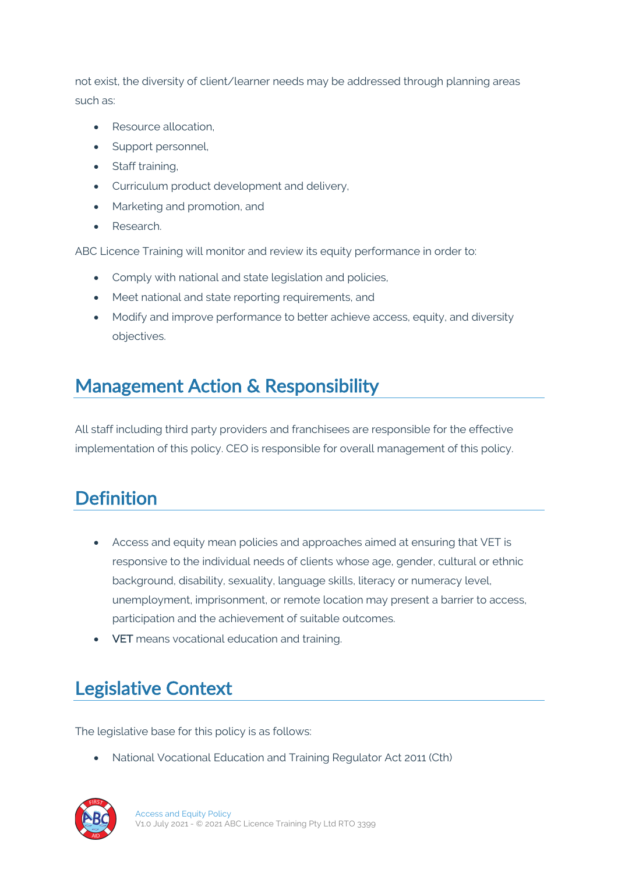not exist, the diversity of client/learner needs may be addressed through planning areas such as:

- Resource allocation,
- Support personnel,
- Staff training,
- Curriculum product development and delivery,
- Marketing and promotion, and
- Research.

ABC Licence Training will monitor and review its equity performance in order to:

- Comply with national and state legislation and policies,
- Meet national and state reporting requirements, and
- Modify and improve performance to better achieve access, equity, and diversity objectives.

#### Management Action & Responsibility

All staff including third party providers and franchisees are responsible for the effective implementation of this policy. CEO is responsible for overall management of this policy.

## **Definition**

- Access and equity mean policies and approaches aimed at ensuring that VET is responsive to the individual needs of clients whose age, gender, cultural or ethnic background, disability, sexuality, language skills, literacy or numeracy level, unemployment, imprisonment, or remote location may present a barrier to access, participation and the achievement of suitable outcomes.
- VET means vocational education and training.

## Legislative Context

The legislative base for this policy is as follows:

• National Vocational Education and Training Regulator Act 2011 (Cth)